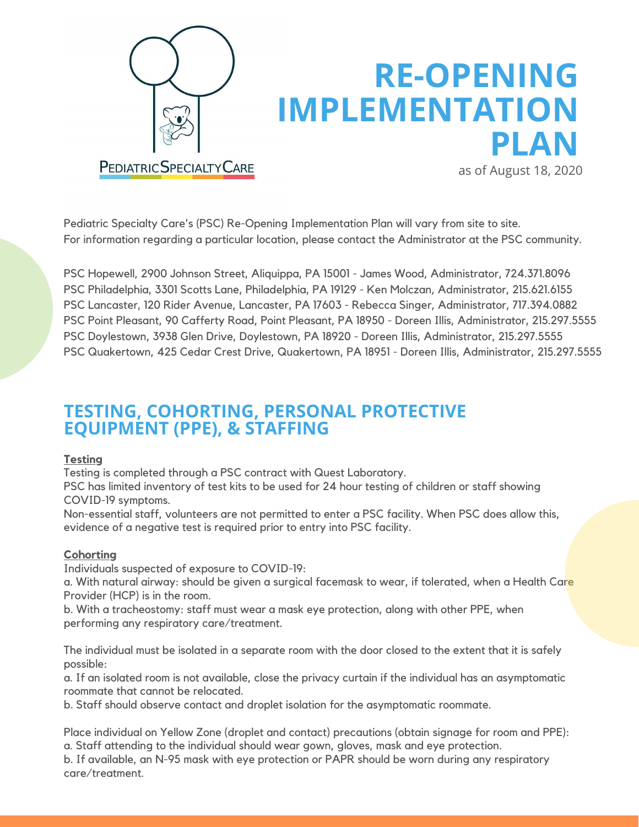

# **RE-OPENING IMPLEMENTATION PLAN**

as of August 18, 2020

Pediatric Specialty Care's (PSC) Re-Opening Implementation Plan will vary from site to site. For information regarding a particular location, please contact the Administrator at the PSC community.

PSC Hopewell, 2900 Johnson Street, Aliquippa, PA 15001 - James Wood, Administrator, 724.371.8096 PSC Philadelphia, 3301 Scotts Lane, Philadelphia, PA 19129 - Ken Molczan, Administrator, 215.621.6155 PSC Lancaster, 120 Rider Avenue, Lancaster, PA 17603 - Rebecca Singer, Administrator, 717.394.0882 PSC Point Pleasant, 90 Cafferty Road, Point Pleasant, PA 18950 - Doreen Illis, Administrator, 215.297.5555 PSC Doylestown, 3938 Glen Drive, Doylestown, PA 18920 - Doreen Illis, Administrator, 215.297.5555 PSC Quakertown, 425 Cedar Crest Drive, Quakertown, PA 18951 - Doreen Illis, Administrator, 215.297.5555

## **TESTING, COHORTING, PERSONAL PROTECTIVE EQUIPMENT (PPE), & STAFFING**

#### **Testing**

Testing is completed through a PSC contract with Quest Laboratory.

PSC has limited inventory of test kits to be used for 24 hour testing of children or staff showing COVID-19 symptoms.

Non-essential staff, volunteers are not permitted to enter a PSC facility. When PSC does allow this, evidence of a negative test is required prior to entry into PSC facility.

#### **Cohorting**

Individuals suspected of exposure to COVID-19:

a. With natural airway: should be given a surgical facemask to wear, if tolerated, when a Health Care Provider (HCP) is in the room.

b. With a tracheostomy: staff must wear a mask eye protection, along with other PPE, when performing any respiratory care/treatment.

The individual must be isolated in a separate room with the door closed to the extent that it is safely possible:

a. If an isolated room is not available, close the privacy curtain if the individual has an asymptomatic roommate that cannot be relocated.

b. Staff should observe contact and droplet isolation for the asymptomatic roommate.

Place individual on Yellow Zone (droplet and contact) precautions (obtain signage for room and PPE): a. Staff attending to the individual should wear gown, gloves, mask and eye protection.

b. If available, an N-95 mask with eye protection or PAPR should be worn during any respiratory care/treatment.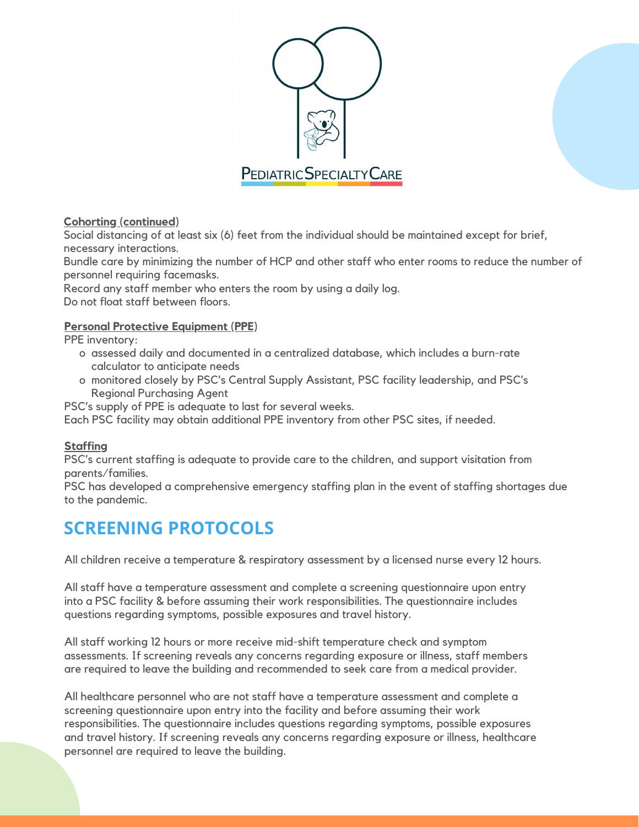

#### **Cohorting (continued)**

Social distancing of at least six (6) feet from the individual should be maintained except for brief, necessary interactions.

Bundle care by minimizing the number of HCP and other staff who enter rooms to reduce the number of personnel requiring facemasks.

Record any staff member who enters the room by using a daily log.

Do not float staff between floors.

#### **Personal Protective Equipment (PPE)**

PPE inventory:

- o assessed daily and documented in a centralized database, which includes a burn-rate calculator to anticipate needs
- o monitored closely by PSC's Central Supply Assistant, PSC facility leadership, and PSC's Regional Purchasing Agent

PSC's supply of PPE is adequate to last for several weeks.

Each PSC facility may obtain additional PPE inventory from other PSC sites, if needed.

#### **Staffing**

PSC's current staffing is adequate to provide care to the children, and support visitation from parents/families.

PSC has developed a comprehensive emergency staffing plan in the event of staffing shortages due to the pandemic.

# **SCREENING PROTOCOLS**

All children receive a temperature & respiratory assessment by a licensed nurse every 12 hours.

All staff have a temperature assessment and complete a screening questionnaire upon entry into a PSC facility & before assuming their work responsibilities. The questionnaire includes questions regarding symptoms, possible exposures and travel history.

All staff working 12 hours or more receive mid-shift temperature check and symptom assessments. If screening reveals any concerns regarding exposure or illness, staff members are required to leave the building and recommended to seek care from a medical provider.

All healthcare personnel who are not staff have a temperature assessment and complete a screening questionnaire upon entry into the facility and before assuming their work responsibilities. The questionnaire includes questions regarding symptoms, possible exposures and travel history. If screening reveals any concerns regarding exposure or illness, healthcare personnel are required to leave the building.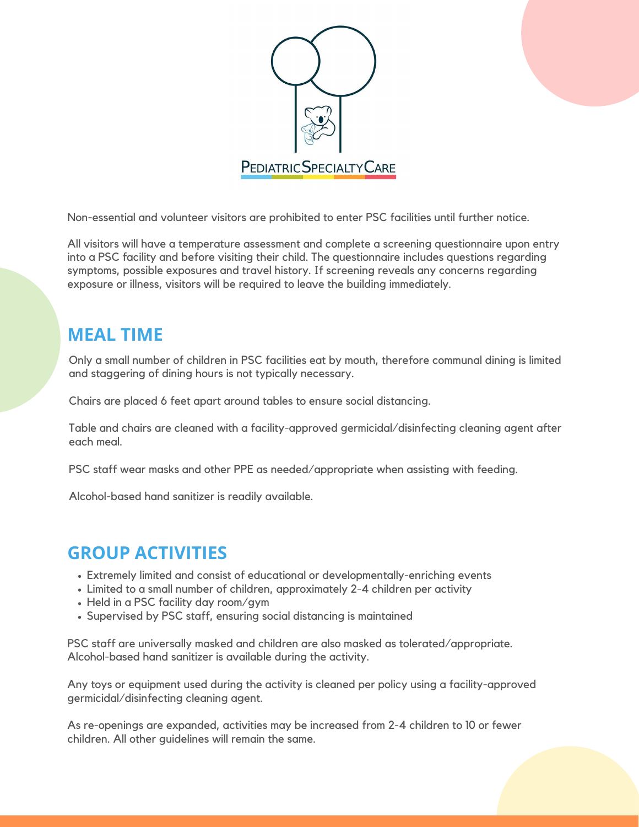

Non-essential and volunteer visitors are prohibited to enter PSC facilities until further notice.

All visitors will have a temperature assessment and complete a screening questionnaire upon entry into a PSC facility and before visiting their child. The questionnaire includes questions regarding symptoms, possible exposures and travel history. If screening reveals any concerns regarding exposure or illness, visitors will be required to leave the building immediately.

## **MEAL TIME**

Only a small number of children in PSC facilities eat by mouth, therefore communal dining is limited and staggering of dining hours is not typically necessary.

Chairs are placed 6 feet apart around tables to ensure social distancing.

Table and chairs are cleaned with a facility-approved germicidal/disinfecting cleaning agent after each meal.

PSC staff wear masks and other PPE as needed/appropriate when assisting with feeding.

Alcohol-based hand sanitizer is readily available.

## **GROUP ACTIVITIES**

- Extremely limited and consist of educational or developmentally-enriching events
- Limited to a small number of children, approximately 2-4 children per activity
- Held in a PSC facility day room/gym
- Supervised by PSC staff, ensuring social distancing is maintained

PSC staff are universally masked and children are also masked as tolerated/appropriate. Alcohol-based hand sanitizer is available during the activity.

Any toys or equipment used during the activity is cleaned per policy using a facility-approved germicidal/disinfecting cleaning agent.

As re-openings are expanded, activities may be increased from 2-4 children to 10 or fewer children. All other guidelines will remain the same.